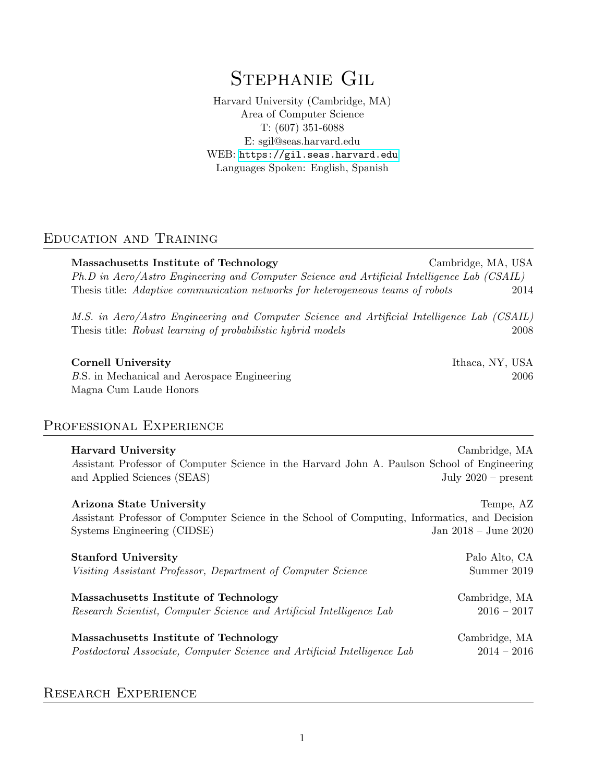# Stephanie Gil

Harvard University (Cambridge, MA) Area of Computer Science T: (607) 351-6088 E: sgil@seas.harvard.edu WEB: <https://gil.seas.harvard.edu> Languages Spoken: English, Spanish

## Education and Training

Massachusetts Institute of Technology Cambridge, MA, USA Ph.D in Aero/Astro Engineering and Computer Science and Artificial Intelligence Lab (CSAIL) Thesis title: Adaptive communication networks for heterogeneous teams of robots 2014

M.S. in Aero/Astro Engineering and Computer Science and Artificial Intelligence Lab (CSAIL) Thesis title: Robust learning of probabilistic hybrid models 2008

#### Cornell University **Ithaca, NY, USA**

B.S. in Mechanical and Aerospace Engineering 2006 Magna Cum Laude Honors

## Professional Experience

| <b>Harvard University</b><br>Assistant Professor of Computer Science in the Harvard John A. Paulson School of Engineering<br>and Applied Sciences (SEAS) | Cambridge, MA<br>July $2020$ – present |
|----------------------------------------------------------------------------------------------------------------------------------------------------------|----------------------------------------|
| Arizona State University<br>Assistant Professor of Computer Science in the School of Computing, Informatics, and Decision<br>Systems Engineering (CIDSE) | Tempe, AZ<br>Jan $2018 -$ June $2020$  |
| <b>Stanford University</b>                                                                                                                               | Palo Alto, CA                          |
| Visiting Assistant Professor, Department of Computer Science                                                                                             | Summer 2019                            |
| Massachusetts Institute of Technology                                                                                                                    | Cambridge, MA                          |
| Research Scientist, Computer Science and Artificial Intelligence Lab                                                                                     | $2016 - 2017$                          |
| Massachusetts Institute of Technology                                                                                                                    | Cambridge, MA                          |
| Postdoctoral Associate, Computer Science and Artificial Intelligence Lab                                                                                 | $2014 - 2016$                          |

## Research Experience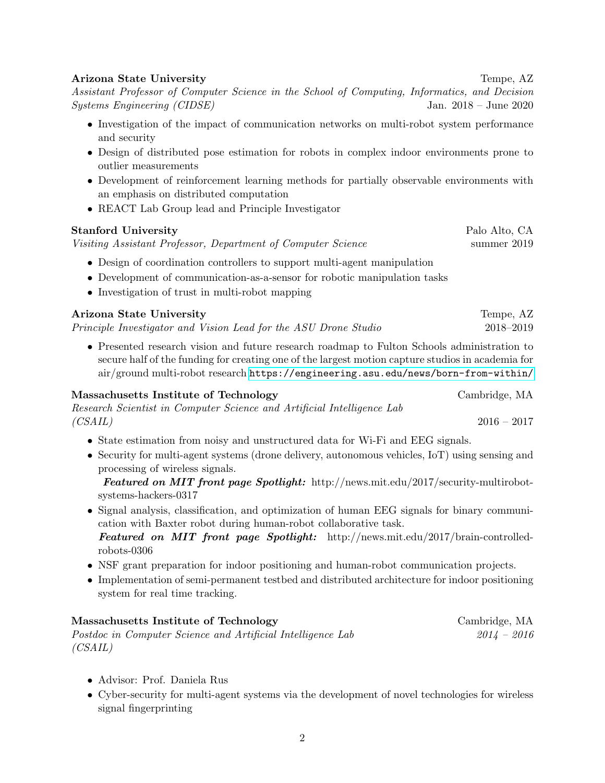#### Arizona State University Tempe, AZ

Assistant Professor of Computer Science in the School of Computing, Informatics, and Decision Systems Engineering (CIDSE) Jan. 2018 – June 2020

- Investigation of the impact of communication networks on multi-robot system performance and security
- Design of distributed pose estimation for robots in complex indoor environments prone to outlier measurements
- Development of reinforcement learning methods for partially observable environments with an emphasis on distributed computation
- REACT Lab Group lead and Principle Investigator

#### Stanford University **Palo Alto, CA**

Visiting Assistant Professor, Department of Computer Science summer 2019

- Design of coordination controllers to support multi-agent manipulation
- Development of communication-as-a-sensor for robotic manipulation tasks
- Investigation of trust in multi-robot mapping

### Arizona State University Tempe, AZ Principle Investigator and Vision Lead for the ASU Drone Studio 2018–2019

• Presented research vision and future research roadmap to Fulton Schools administration to secure half of the funding for creating one of the largest motion capture studios in academia for air/ground multi-robot research <https://engineering.asu.edu/news/born-from-within/>

#### Massachusetts Institute of Technology Cambridge, MA

|         | Research Scientist in Computer Science and Artificial Intelligence Lab |               |  |
|---------|------------------------------------------------------------------------|---------------|--|
| (CSAIL) |                                                                        | $2016 - 2017$ |  |

- State estimation from noisy and unstructured data for Wi-Fi and EEG signals.
- Security for multi-agent systems (drone delivery, autonomous vehicles, IoT) using sensing and processing of wireless signals.

Featured on MIT front page Spotlight: http://news.mit.edu/2017/security-multirobotsystems-hackers-0317

- Signal analysis, classification, and optimization of human EEG signals for binary communication with Baxter robot during human-robot collaborative task. Featured on MIT front page Spotlight: http://news.mit.edu/2017/brain-controlledrobots-0306
- NSF grant preparation for indoor positioning and human-robot communication projects.
- Implementation of semi-permanent testbed and distributed architecture for indoor positioning system for real time tracking.

#### Massachusetts Institute of Technology Cambridge, MA Postdoc in Computer Science and Artificial Intelligence Lab 2014 – 2016 (CSAIL)

- Advisor: Prof. Daniela Rus
- Cyber-security for multi-agent systems via the development of novel technologies for wireless signal fingerprinting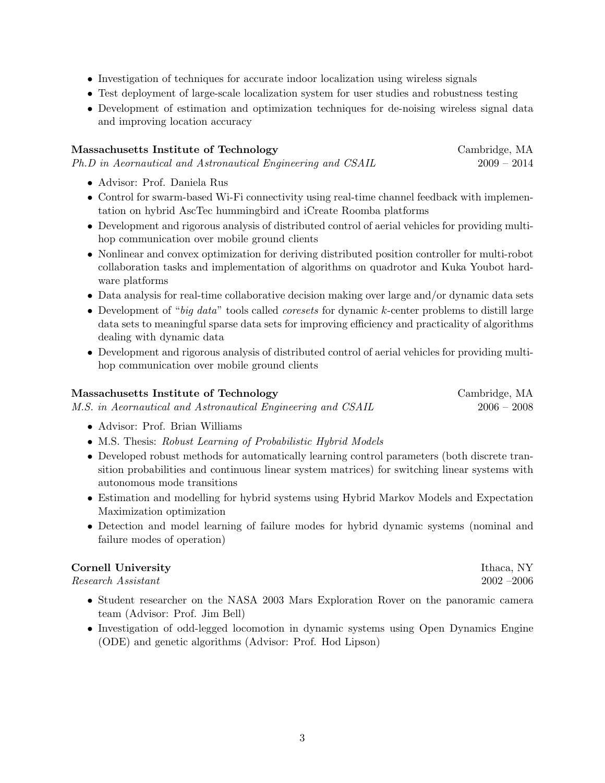- Investigation of techniques for accurate indoor localization using wireless signals
- Test deployment of large-scale localization system for user studies and robustness testing
- Development of estimation and optimization techniques for de-noising wireless signal data and improving location accuracy

| Massachusetts Institute of Technology                        | Cambridge, MA |
|--------------------------------------------------------------|---------------|
| Ph.D in Aeornautical and Astronautical Engineering and CSAIL | $2009 - 2014$ |

- Advisor: Prof. Daniela Rus
- Control for swarm-based Wi-Fi connectivity using real-time channel feedback with implementation on hybrid AscTec hummingbird and iCreate Roomba platforms
- Development and rigorous analysis of distributed control of aerial vehicles for providing multihop communication over mobile ground clients
- Nonlinear and convex optimization for deriving distributed position controller for multi-robot collaboration tasks and implementation of algorithms on quadrotor and Kuka Youbot hardware platforms
- Data analysis for real-time collaborative decision making over large and/or dynamic data sets
- Development of "big data" tools called *coresets* for dynamic  $k$ -center problems to distill large data sets to meaningful sparse data sets for improving efficiency and practicality of algorithms dealing with dynamic data
- Development and rigorous analysis of distributed control of aerial vehicles for providing multihop communication over mobile ground clients

| Massachusetts Institute of Technology                        | Cambridge, MA |
|--------------------------------------------------------------|---------------|
| M.S. in Aeornautical and Astronautical Engineering and CSAIL | $2006 - 2008$ |

- Advisor: Prof. Brian Williams
- M.S. Thesis: Robust Learning of Probabilistic Hybrid Models
- Developed robust methods for automatically learning control parameters (both discrete transition probabilities and continuous linear system matrices) for switching linear systems with autonomous mode transitions
- Estimation and modelling for hybrid systems using Hybrid Markov Models and Expectation Maximization optimization
- Detection and model learning of failure modes for hybrid dynamic systems (nominal and failure modes of operation)

#### **Cornell University Ithaca, NY**

Research Assistant 2002 –2006

- Student researcher on the NASA 2003 Mars Exploration Rover on the panoramic camera team (Advisor: Prof. Jim Bell)
- Investigation of odd-legged locomotion in dynamic systems using Open Dynamics Engine (ODE) and genetic algorithms (Advisor: Prof. Hod Lipson)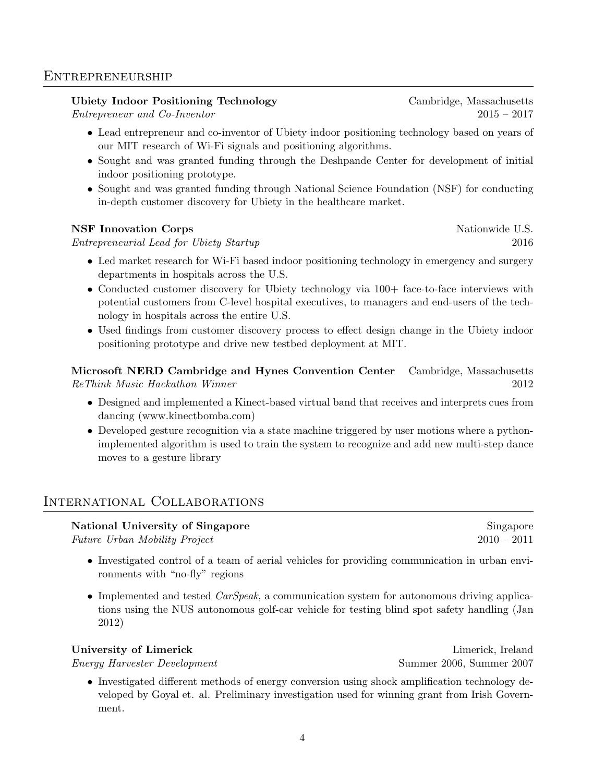#### **ENTREPRENEURSHIP**

#### Ubiety Indoor Positioning Technology Cambridge, Massachusetts

Entrepreneur and Co-Inventor 2015 – 2017

- Lead entrepreneur and co-inventor of Ubiety indoor positioning technology based on years of our MIT research of Wi-Fi signals and positioning algorithms.
- Sought and was granted funding through the Deshpande Center for development of initial indoor positioning prototype.
- Sought and was granted funding through National Science Foundation (NSF) for conducting in-depth customer discovery for Ubiety in the healthcare market.

#### NSF Innovation Corps Nationwide U.S.

Entrepreneurial Lead for Ubiety Startup 2016

- Led market research for Wi-Fi based indoor positioning technology in emergency and surgery departments in hospitals across the U.S.
- Conducted customer discovery for Ubiety technology via  $100+$  face-to-face interviews with potential customers from C-level hospital executives, to managers and end-users of the technology in hospitals across the entire U.S.
- Used findings from customer discovery process to effect design change in the Ubiety indoor positioning prototype and drive new testbed deployment at MIT.

Microsoft NERD Cambridge and Hynes Convention Center Cambridge, Massachusetts ReThink Music Hackathon Winner 2012

- Designed and implemented a Kinect-based virtual band that receives and interprets cues from dancing (www.kinectbomba.com)
- Developed gesture recognition via a state machine triggered by user motions where a pythonimplemented algorithm is used to train the system to recognize and add new multi-step dance moves to a gesture library

## International Collaborations

#### National University of Singapore Singapore Singapore

Future Urban Mobility Project 2010 – 2011

- Investigated control of a team of aerial vehicles for providing communication in urban environments with "no-fly" regions
- Implemented and tested *CarSpeak*, a communication system for autonomous driving applications using the NUS autonomous golf-car vehicle for testing blind spot safety handling (Jan 2012)

#### University of Limerick Limerick Limerick, Ireland

Energy Harvester Development Summer 2006, Summer 2007

• Investigated different methods of energy conversion using shock amplification technology developed by Goyal et. al. Preliminary investigation used for winning grant from Irish Government.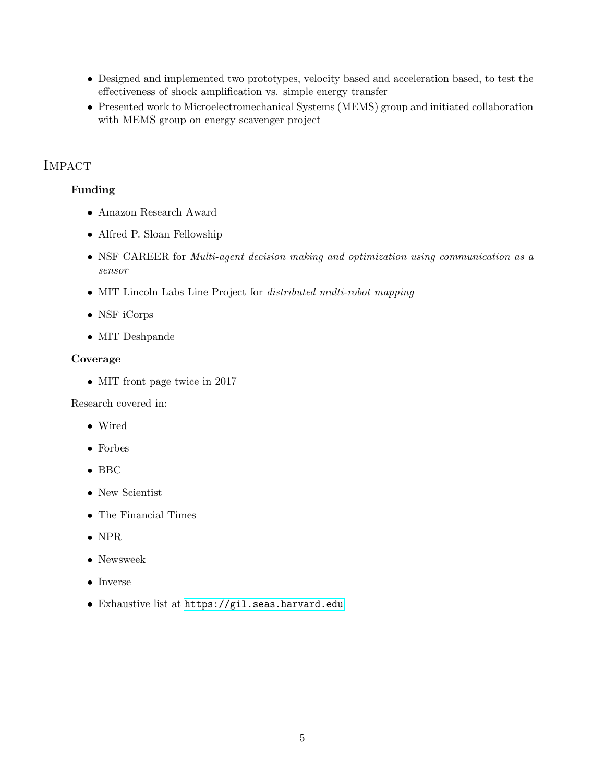- Designed and implemented two prototypes, velocity based and acceleration based, to test the effectiveness of shock amplification vs. simple energy transfer
- Presented work to Microelectromechanical Systems (MEMS) group and initiated collaboration with MEMS group on energy scavenger project

## **IMPACT**

#### Funding

- Amazon Research Award
- Alfred P. Sloan Fellowship
- NSF CAREER for Multi-agent decision making and optimization using communication as a sensor
- MIT Lincoln Labs Line Project for *distributed multi-robot mapping*
- NSF iCorps
- MIT Deshpande

#### Coverage

• MIT front page twice in 2017

Research covered in:

- Wired
- Forbes
- BBC
- New Scientist
- The Financial Times
- NPR
- Newsweek
- Inverse
- Exhaustive list at <https://gil.seas.harvard.edu>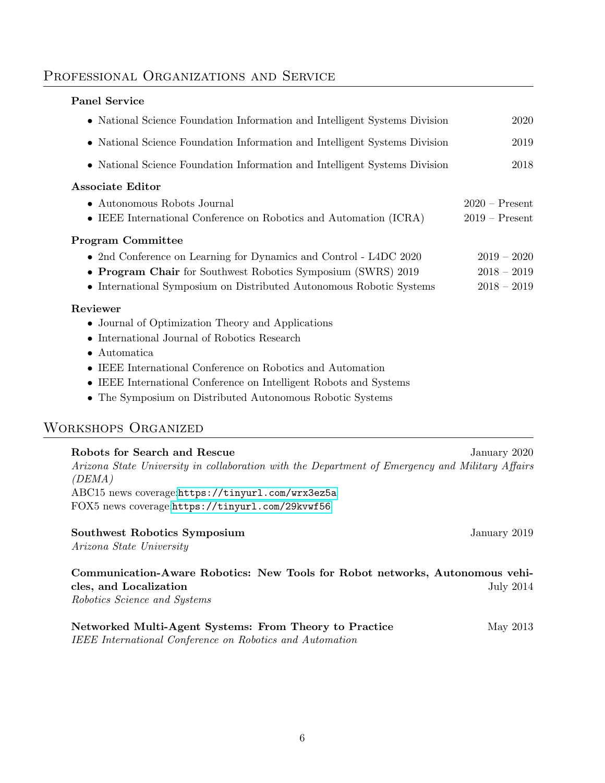## Professional Organizations and Service

#### Panel Service

| • National Science Foundation Information and Intelligent Systems Division | 2020             |
|----------------------------------------------------------------------------|------------------|
| • National Science Foundation Information and Intelligent Systems Division | 2019             |
| • National Science Foundation Information and Intelligent Systems Division | 2018             |
| <b>Associate Editor</b>                                                    |                  |
| $\bullet$ Autonomous Robots Journal                                        | $2020$ – Present |
| • IEEE International Conference on Robotics and Automation (ICRA)          | $2019 -$ Present |
| <b>Program Committee</b>                                                   |                  |
| • 2nd Conference on Learning for Dynamics and Control - L4DC 2020          | $2019 - 2020$    |
| • Program Chair for Southwest Robotics Symposium (SWRS) 2019               | $2018 - 2019$    |
| • International Symposium on Distributed Autonomous Robotic Systems        | $2018 - 2019$    |
| Reviewer                                                                   |                  |
| • Journal of Optimization Theory and Applications                          |                  |
| • International Journal of Robotics Research                               |                  |

- Automatica
- IEEE International Conference on Robotics and Automation
- IEEE International Conference on Intelligent Robots and Systems
- The Symposium on Distributed Autonomous Robotic Systems

# Workshops Organized

| Robots for Search and Rescue                                                                    | January 2020 |
|-------------------------------------------------------------------------------------------------|--------------|
| Arizona State University in collaboration with the Department of Emergency and Military Affairs |              |
| (DEMA)                                                                                          |              |
| ABC15 news coverage:https://tinyurl.com/wrx3ez5a                                                |              |
| FOX5 news coverage:https://tinyurl.com/29kvwf56                                                 |              |
|                                                                                                 |              |

| Southwest Robotics Symposium |  |  |  |
|------------------------------|--|--|--|
|------------------------------|--|--|--|

Arizona State University

## Communication-Aware Robotics: New Tools for Robot networks, Autonomous vehicles, and Localization July 2014

January 2019

Robotics Science and Systems

| Networked Multi-Agent Systems: From Theory to Practice   | May 2013 |
|----------------------------------------------------------|----------|
| IEEE International Conference on Robotics and Automation |          |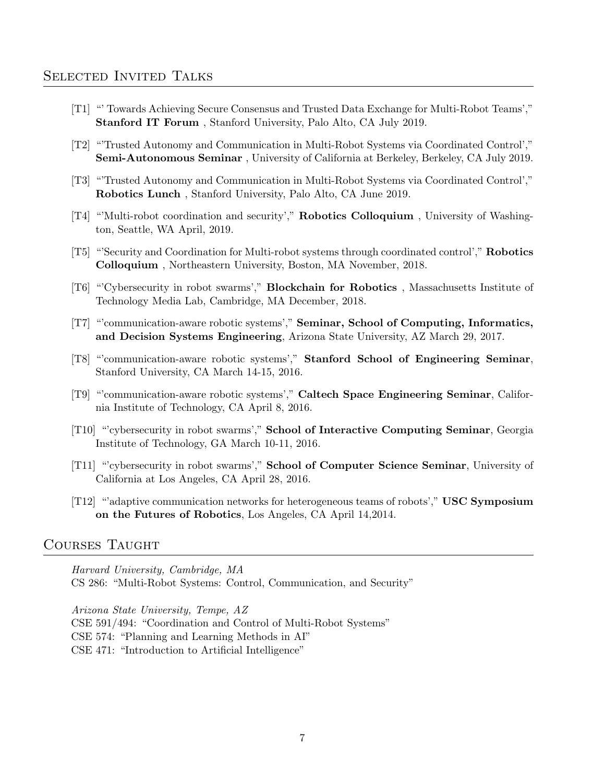- [T1] "' Towards Achieving Secure Consensus and Trusted Data Exchange for Multi-Robot Teams'," Stanford IT Forum , Stanford University, Palo Alto, CA July 2019.
- [T2] "'Trusted Autonomy and Communication in Multi-Robot Systems via Coordinated Control'," Semi-Autonomous Seminar , University of California at Berkeley, Berkeley, CA July 2019.
- [T3] "'Trusted Autonomy and Communication in Multi-Robot Systems via Coordinated Control'," Robotics Lunch , Stanford University, Palo Alto, CA June 2019.
- [T4] "'Multi-robot coordination and security'," Robotics Colloquium , University of Washington, Seattle, WA April, 2019.
- [T5] "'Security and Coordination for Multi-robot systems through coordinated control'," Robotics Colloquium , Northeastern University, Boston, MA November, 2018.
- [T6] "'Cybersecurity in robot swarms'," Blockchain for Robotics , Massachusetts Institute of Technology Media Lab, Cambridge, MA December, 2018.
- [T7] "'communication-aware robotic systems'," Seminar, School of Computing, Informatics, and Decision Systems Engineering, Arizona State University, AZ March 29, 2017.
- [T8] "'communication-aware robotic systems'," Stanford School of Engineering Seminar, Stanford University, CA March 14-15, 2016.
- [T9] "'communication-aware robotic systems'," Caltech Space Engineering Seminar, California Institute of Technology, CA April 8, 2016.
- [T10] "'cybersecurity in robot swarms'," School of Interactive Computing Seminar, Georgia Institute of Technology, GA March 10-11, 2016.
- [T11] "'cybersecurity in robot swarms'," School of Computer Science Seminar, University of California at Los Angeles, CA April 28, 2016.
- [T12] "'adaptive communication networks for heterogeneous teams of robots'," USC Symposium on the Futures of Robotics, Los Angeles, CA April 14,2014.

#### Courses Taught

Harvard University, Cambridge, MA

CS 286: "Multi-Robot Systems: Control, Communication, and Security"

Arizona State University, Tempe, AZ CSE 591/494: "Coordination and Control of Multi-Robot Systems" CSE 574: "Planning and Learning Methods in AI" CSE 471: "Introduction to Artificial Intelligence"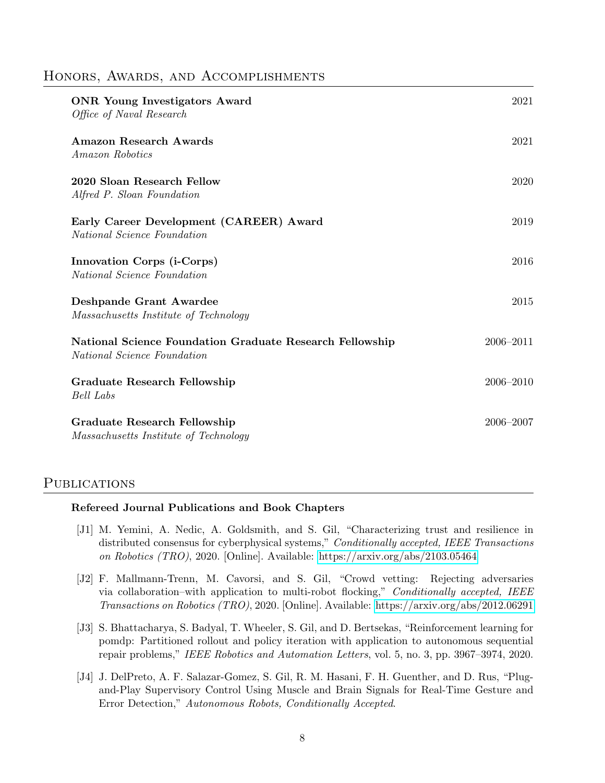#### HONORS, AWARDS, AND ACCOMPLISHMENTS

| <b>ONR</b> Young Investigators Award<br>Office of Naval Research                        | 2021          |
|-----------------------------------------------------------------------------------------|---------------|
| <b>Amazon Research Awards</b><br>Amazon Robotics                                        | 2021          |
| 2020 Sloan Research Fellow<br>Alfred P. Sloan Foundation                                | 2020          |
| Early Career Development (CAREER) Award<br><i>National Science Foundation</i>           | 2019          |
| Innovation Corps (i-Corps)<br>National Science Foundation                               | 2016          |
| Deshpande Grant Awardee<br>Massachusetts Institute of Technology                        | 2015          |
| National Science Foundation Graduate Research Fellowship<br>National Science Foundation | $2006 - 2011$ |
| Graduate Research Fellowship<br><b>Bell</b> Labs                                        | $2006 - 2010$ |
| <b>Graduate Research Fellowship</b><br>Massachusetts Institute of Technology            | 2006-2007     |

#### PUBLICATIONS

#### Refereed Journal Publications and Book Chapters

- [J1] M. Yemini, A. Nedic, A. Goldsmith, and S. Gil, "Characterizing trust and resilience in distributed consensus for cyberphysical systems," Conditionally accepted, IEEE Transactions on Robotics (TRO), 2020. [Online]. Available:<https://arxiv.org/abs/2103.05464>
- [J2] F. Mallmann-Trenn, M. Cavorsi, and S. Gil, "Crowd vetting: Rejecting adversaries via collaboration–with application to multi-robot flocking," Conditionally accepted, IEEE Transactions on Robotics (TRO), 2020. [Online]. Available:<https://arxiv.org/abs/2012.06291>
- [J3] S. Bhattacharya, S. Badyal, T. Wheeler, S. Gil, and D. Bertsekas, "Reinforcement learning for pomdp: Partitioned rollout and policy iteration with application to autonomous sequential repair problems," IEEE Robotics and Automation Letters, vol. 5, no. 3, pp. 3967–3974, 2020.
- [J4] J. DelPreto, A. F. Salazar-Gomez, S. Gil, R. M. Hasani, F. H. Guenther, and D. Rus, "Plugand-Play Supervisory Control Using Muscle and Brain Signals for Real-Time Gesture and Error Detection," Autonomous Robots, Conditionally Accepted.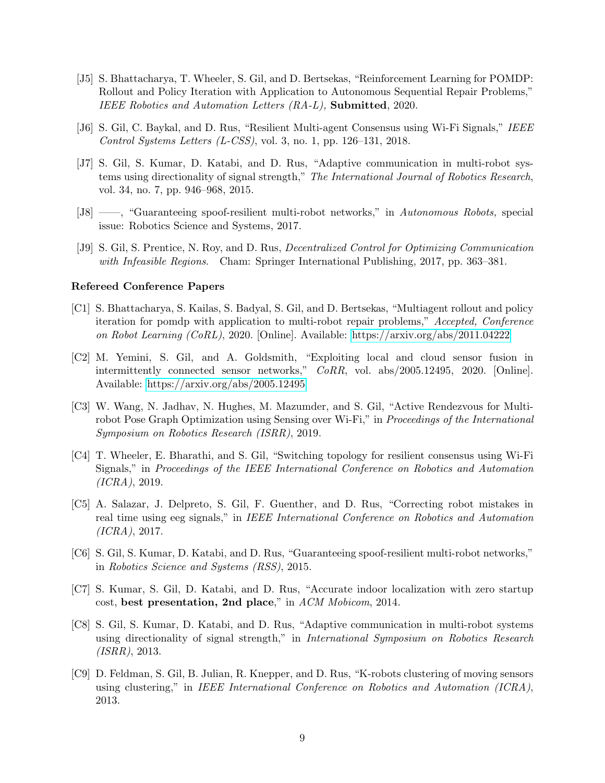- [J5] S. Bhattacharya, T. Wheeler, S. Gil, and D. Bertsekas, "Reinforcement Learning for POMDP: Rollout and Policy Iteration with Application to Autonomous Sequential Repair Problems," IEEE Robotics and Automation Letters (RA-L), Submitted, 2020.
- [J6] S. Gil, C. Baykal, and D. Rus, "Resilient Multi-agent Consensus using Wi-Fi Signals," IEEE Control Systems Letters (L-CSS), vol. 3, no. 1, pp. 126–131, 2018.
- [J7] S. Gil, S. Kumar, D. Katabi, and D. Rus, "Adaptive communication in multi-robot systems using directionality of signal strength," The International Journal of Robotics Research, vol. 34, no. 7, pp. 946–968, 2015.
- [J8] ——, "Guaranteeing spoof-resilient multi-robot networks," in Autonomous Robots, special issue: Robotics Science and Systems, 2017.
- [J9] S. Gil, S. Prentice, N. Roy, and D. Rus, Decentralized Control for Optimizing Communication with Infeasible Regions. Cham: Springer International Publishing, 2017, pp. 363–381.

#### Refereed Conference Papers

- [C1] S. Bhattacharya, S. Kailas, S. Badyal, S. Gil, and D. Bertsekas, "Multiagent rollout and policy iteration for pomdp with application to multi-robot repair problems," Accepted, Conference on Robot Learning (CoRL), 2020. [Online]. Available:<https://arxiv.org/abs/2011.04222>
- [C2] M. Yemini, S. Gil, and A. Goldsmith, "Exploiting local and cloud sensor fusion in intermittently connected sensor networks," CoRR, vol. abs/2005.12495, 2020. [Online]. Available:<https://arxiv.org/abs/2005.12495>
- [C3] W. Wang, N. Jadhav, N. Hughes, M. Mazumder, and S. Gil, "Active Rendezvous for Multirobot Pose Graph Optimization using Sensing over Wi-Fi," in *Proceedings of the International* Symposium on Robotics Research (ISRR), 2019.
- [C4] T. Wheeler, E. Bharathi, and S. Gil, "Switching topology for resilient consensus using Wi-Fi Signals," in Proceedings of the IEEE International Conference on Robotics and Automation (ICRA), 2019.
- [C5] A. Salazar, J. Delpreto, S. Gil, F. Guenther, and D. Rus, "Correcting robot mistakes in real time using eeg signals," in IEEE International Conference on Robotics and Automation (ICRA), 2017.
- [C6] S. Gil, S. Kumar, D. Katabi, and D. Rus, "Guaranteeing spoof-resilient multi-robot networks," in Robotics Science and Systems (RSS), 2015.
- [C7] S. Kumar, S. Gil, D. Katabi, and D. Rus, "Accurate indoor localization with zero startup cost, best presentation, 2nd place," in ACM Mobicom, 2014.
- [C8] S. Gil, S. Kumar, D. Katabi, and D. Rus, "Adaptive communication in multi-robot systems using directionality of signal strength," in International Symposium on Robotics Research (ISRR), 2013.
- [C9] D. Feldman, S. Gil, B. Julian, R. Knepper, and D. Rus, "K-robots clustering of moving sensors using clustering," in IEEE International Conference on Robotics and Automation (ICRA), 2013.